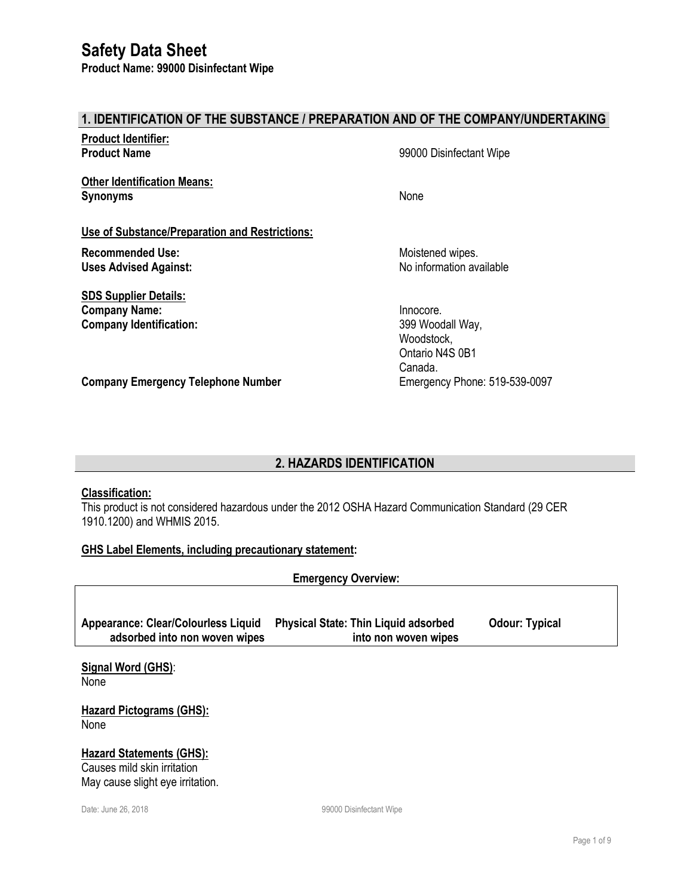#### **1. IDENTIFICATION OF THE SUBSTANCE / PREPARATION AND OF THE COMPANY/UNDERTAKING**

| <b>Product Identifier:</b><br><b>Product Name</b>                                      | 99000 Disinfectant Wipe                                                   |
|----------------------------------------------------------------------------------------|---------------------------------------------------------------------------|
| <b>Other Identification Means:</b><br><b>Synonyms</b>                                  | None                                                                      |
| Use of Substance/Preparation and Restrictions:                                         |                                                                           |
| <b>Recommended Use:</b><br><b>Uses Advised Against:</b>                                | Moistened wipes.<br>No information available                              |
| <b>SDS Supplier Details:</b><br><b>Company Name:</b><br><b>Company Identification:</b> | Innocore.<br>399 Woodall Way,<br>Woodstock,<br>Ontario N4S 0B1<br>Canada. |
| <b>Company Emergency Telephone Number</b>                                              | Emergency Phone: 519-539-0097                                             |

### **2. HAZARDS IDENTIFICATION**

### **Classification:**

This product is not considered hazardous under the 2012 OSHA Hazard Communication Standard (29 CER 1910.1200) and WHMIS 2015.

#### **GHS Label Elements, including precautionary statement:**

**Emergency Overview:**

| <b>Appearance: Clear/Colourless Liquid</b> | <b>Physical State: Thin Liquid adsorbed</b> | <b>Odour: Typical</b> |
|--------------------------------------------|---------------------------------------------|-----------------------|
| adsorbed into non woven wipes              | into non woven wipes                        |                       |

**Signal Word (GHS)**: None

**Hazard Pictograms (GHS): None** 

#### **Hazard Statements (GHS):** Causes mild skin irritation

May cause slight eye irritation.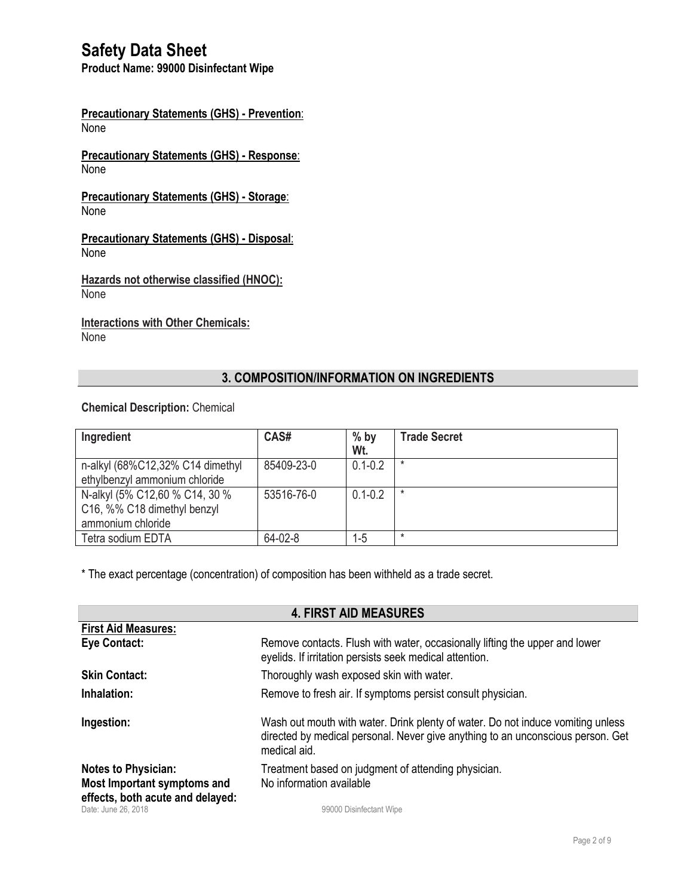**Product Name: 99000 Disinfectant Wipe**

**Precautionary Statements (GHS) - Prevention**: None

**Precautionary Statements (GHS) - Response**: None

**Precautionary Statements (GHS) - Storage**: None

**Precautionary Statements (GHS) - Disposal**: None

**Hazards not otherwise classified (HNOC):** None

**Interactions with Other Chemicals: None** 

### **3. COMPOSITION/INFORMATION ON INGREDIENTS**

#### **Chemical Description:** Chemical

r.

| Ingredient                                                                         | CAS#       | $%$ by<br>Wt. | <b>Trade Secret</b> |
|------------------------------------------------------------------------------------|------------|---------------|---------------------|
| n-alkyl (68%C12,32% C14 dimethyl<br>ethylbenzyl ammonium chloride                  | 85409-23-0 | $0.1 - 0.2$   | *                   |
| N-alkyl (5% C12,60 % C14, 30 %<br>C16, %% C18 dimethyl benzyl<br>ammonium chloride | 53516-76-0 | $0.1 - 0.2$   | *                   |
| Tetra sodium EDTA                                                                  | 64-02-8    | 1-5           | $\star$             |

\* The exact percentage (concentration) of composition has been withheld as a trade secret.

| <b>4. FIRST AID MEASURES</b>                              |                                                                                                                                                                                    |  |
|-----------------------------------------------------------|------------------------------------------------------------------------------------------------------------------------------------------------------------------------------------|--|
| <b>First Aid Measures:</b>                                |                                                                                                                                                                                    |  |
| Eye Contact:                                              | Remove contacts. Flush with water, occasionally lifting the upper and lower<br>eyelids. If irritation persists seek medical attention.                                             |  |
| <b>Skin Contact:</b>                                      | Thoroughly wash exposed skin with water.                                                                                                                                           |  |
| Inhalation:                                               | Remove to fresh air. If symptoms persist consult physician.                                                                                                                        |  |
| Ingestion:                                                | Wash out mouth with water. Drink plenty of water. Do not induce vomiting unless<br>directed by medical personal. Never give anything to an unconscious person. Get<br>medical aid. |  |
| <b>Notes to Physician:</b><br>Most Important symptoms and | Treatment based on judgment of attending physician.<br>No information available                                                                                                    |  |
| effects, both acute and delayed:<br>Date: June 26, 2018   | 99000 Disinfectant Wipe                                                                                                                                                            |  |

**4. FIRST AID MEASURES**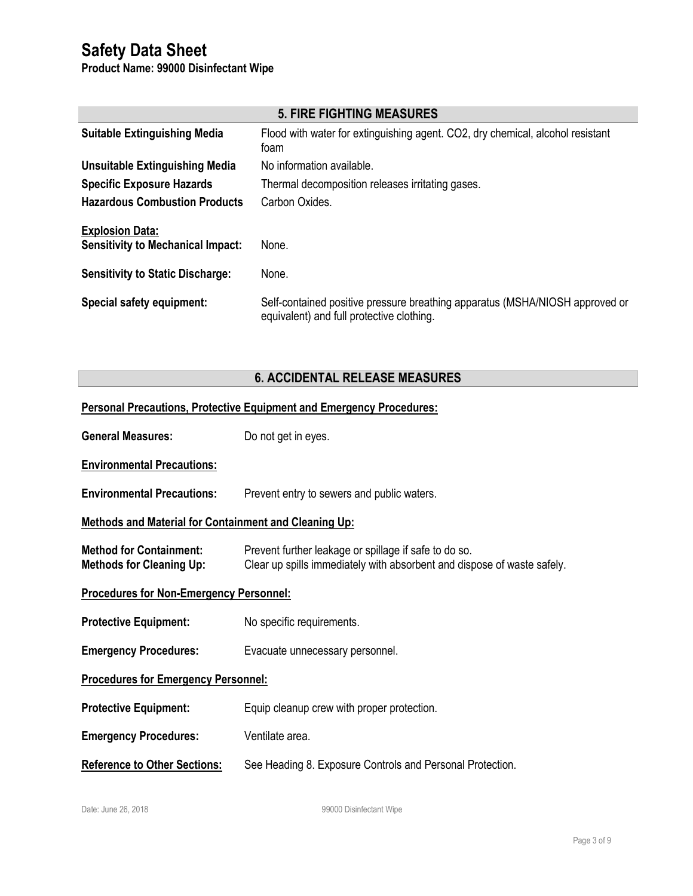**Product Name: 99000 Disinfectant Wipe**

| <b>5. FIRE FIGHTING MEASURES</b>                                   |                                                                                                                           |  |
|--------------------------------------------------------------------|---------------------------------------------------------------------------------------------------------------------------|--|
| <b>Suitable Extinguishing Media</b>                                | Flood with water for extinguishing agent. CO2, dry chemical, alcohol resistant<br>foam                                    |  |
| <b>Unsuitable Extinguishing Media</b>                              | No information available.                                                                                                 |  |
| <b>Specific Exposure Hazards</b>                                   | Thermal decomposition releases irritating gases.                                                                          |  |
| <b>Hazardous Combustion Products</b>                               | Carbon Oxides.                                                                                                            |  |
| <b>Explosion Data:</b><br><b>Sensitivity to Mechanical Impact:</b> | None.                                                                                                                     |  |
| <b>Sensitivity to Static Discharge:</b>                            | None.                                                                                                                     |  |
| Special safety equipment:                                          | Self-contained positive pressure breathing apparatus (MSHA/NIOSH approved or<br>equivalent) and full protective clothing. |  |

## **6. ACCIDENTAL RELEASE MEASURES**

| <b>Personal Precautions, Protective Equipment and Emergency Procedures:</b> |                                                                                                                                  |  |
|-----------------------------------------------------------------------------|----------------------------------------------------------------------------------------------------------------------------------|--|
| <b>General Measures:</b>                                                    | Do not get in eyes.                                                                                                              |  |
| <b>Environmental Precautions:</b>                                           |                                                                                                                                  |  |
| <b>Environmental Precautions:</b>                                           | Prevent entry to sewers and public waters.                                                                                       |  |
| <b>Methods and Material for Containment and Cleaning Up:</b>                |                                                                                                                                  |  |
| <b>Method for Containment:</b><br><b>Methods for Cleaning Up:</b>           | Prevent further leakage or spillage if safe to do so.<br>Clear up spills immediately with absorbent and dispose of waste safely. |  |
| <b>Procedures for Non-Emergency Personnel:</b>                              |                                                                                                                                  |  |
| <b>Protective Equipment:</b>                                                | No specific requirements.                                                                                                        |  |
| <b>Emergency Procedures:</b>                                                | Evacuate unnecessary personnel.                                                                                                  |  |
| <b>Procedures for Emergency Personnel:</b>                                  |                                                                                                                                  |  |
| <b>Protective Equipment:</b>                                                | Equip cleanup crew with proper protection.                                                                                       |  |
| <b>Emergency Procedures:</b>                                                | Ventilate area.                                                                                                                  |  |
| <b>Reference to Other Sections:</b>                                         | See Heading 8. Exposure Controls and Personal Protection.                                                                        |  |

Date: June 26, 2018 **Date:** June 26, 2018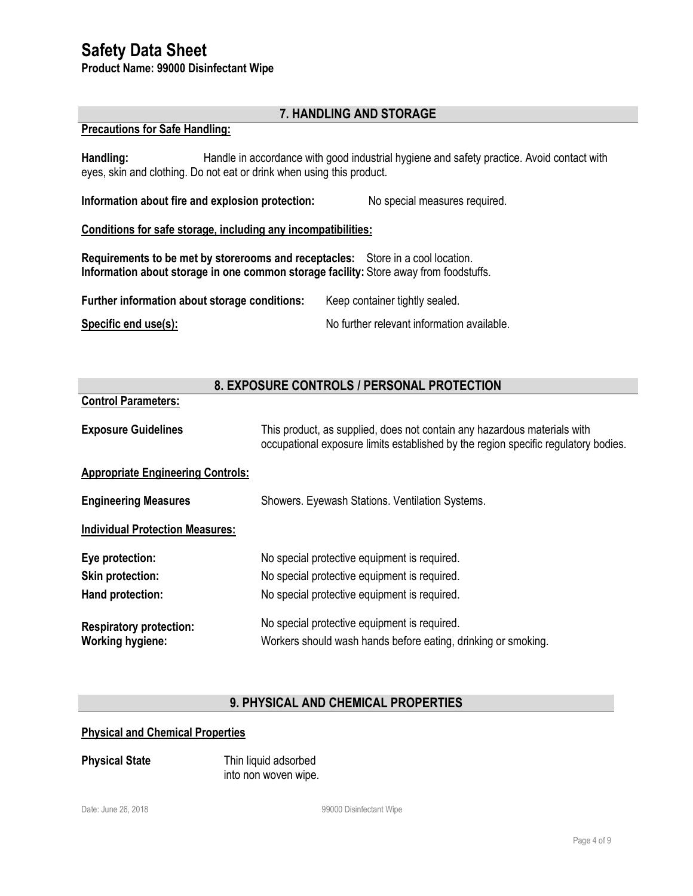**Product Name: 99000 Disinfectant Wipe**

#### **7. HANDLING AND STORAGE**

#### **Precautions for Safe Handling:**

**Control Parameters:**

Handling: Handle in accordance with good industrial hygiene and safety practice. Avoid contact with eyes, skin and clothing. Do not eat or drink when using this product.

**Information about fire and explosion protection:** No special measures required.

#### **Conditions for safe storage, including any incompatibilities:**

**Requirements to be met by storerooms and receptacles:** Store in a cool location. **Information about storage in one common storage facility:** Store away from foodstuffs.

| Further information about storage conditions: | Keep container tightly sealed.             |
|-----------------------------------------------|--------------------------------------------|
| Specific end use(s):                          | No further relevant information available. |

### **8. EXPOSURE CONTROLS / PERSONAL PROTECTION**

| <b>Exposure Guidelines</b>                                | This product, as supplied, does not contain any hazardous materials with<br>occupational exposure limits established by the region specific regulatory bodies. |
|-----------------------------------------------------------|----------------------------------------------------------------------------------------------------------------------------------------------------------------|
| <b>Appropriate Engineering Controls:</b>                  |                                                                                                                                                                |
| <b>Engineering Measures</b>                               | Showers. Eyewash Stations. Ventilation Systems.                                                                                                                |
| <b>Individual Protection Measures:</b>                    |                                                                                                                                                                |
| Eye protection:                                           | No special protective equipment is required.                                                                                                                   |
| <b>Skin protection:</b>                                   | No special protective equipment is required.                                                                                                                   |
| Hand protection:                                          | No special protective equipment is required.                                                                                                                   |
| <b>Respiratory protection:</b><br><b>Working hygiene:</b> | No special protective equipment is required.<br>Workers should wash hands before eating, drinking or smoking.                                                  |

#### **9. PHYSICAL AND CHEMICAL PROPERTIES**

#### **Physical and Chemical Properties**

**Physical State** Thin liquid adsorbed into non woven wipe.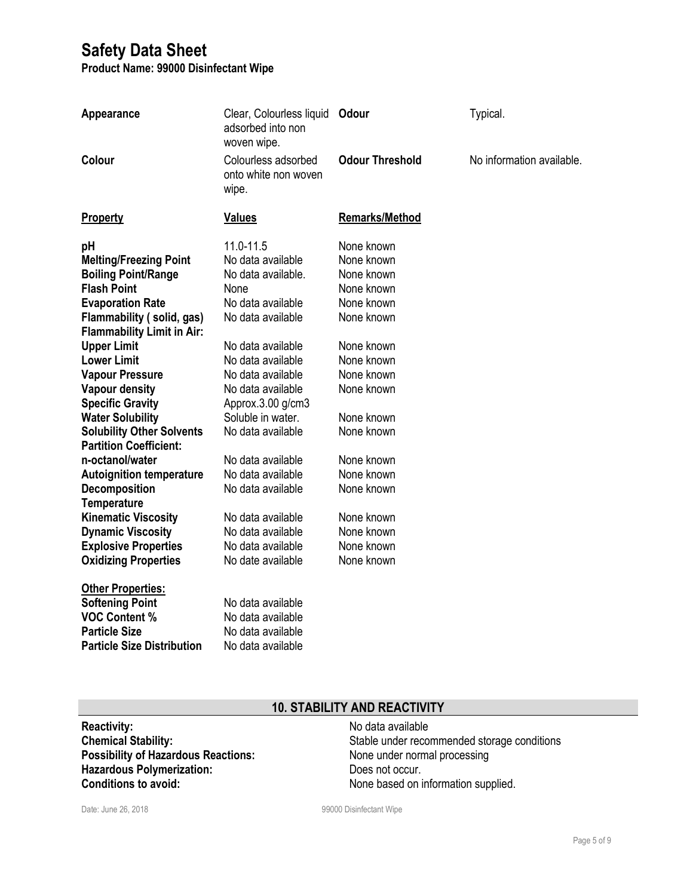**Product Name: 99000 Disinfectant Wipe**

| Appearance                                                                                                                                                                                                                                                                                                                                                                                                                                                                                                                                                                                                                                                                                                                                       | Clear, Colourless liquid Odour<br>adsorbed into non<br>woven wipe.                                                                                                                                                                                                                                                                                                                                                                                                          |                                                                                                                                                                                                                                                                        | Typical.                  |
|--------------------------------------------------------------------------------------------------------------------------------------------------------------------------------------------------------------------------------------------------------------------------------------------------------------------------------------------------------------------------------------------------------------------------------------------------------------------------------------------------------------------------------------------------------------------------------------------------------------------------------------------------------------------------------------------------------------------------------------------------|-----------------------------------------------------------------------------------------------------------------------------------------------------------------------------------------------------------------------------------------------------------------------------------------------------------------------------------------------------------------------------------------------------------------------------------------------------------------------------|------------------------------------------------------------------------------------------------------------------------------------------------------------------------------------------------------------------------------------------------------------------------|---------------------------|
| <b>Colour</b>                                                                                                                                                                                                                                                                                                                                                                                                                                                                                                                                                                                                                                                                                                                                    | Colourless adsorbed<br>onto white non woven<br>wipe.                                                                                                                                                                                                                                                                                                                                                                                                                        | <b>Odour Threshold</b>                                                                                                                                                                                                                                                 | No information available. |
| Property                                                                                                                                                                                                                                                                                                                                                                                                                                                                                                                                                                                                                                                                                                                                         | <b>Values</b>                                                                                                                                                                                                                                                                                                                                                                                                                                                               | <b>Remarks/Method</b>                                                                                                                                                                                                                                                  |                           |
| pH<br><b>Melting/Freezing Point</b><br><b>Boiling Point/Range</b><br><b>Flash Point</b><br><b>Evaporation Rate</b><br>Flammability (solid, gas)<br><b>Flammability Limit in Air:</b><br><b>Upper Limit</b><br><b>Lower Limit</b><br><b>Vapour Pressure</b><br><b>Vapour density</b><br><b>Specific Gravity</b><br><b>Water Solubility</b><br><b>Solubility Other Solvents</b><br><b>Partition Coefficient:</b><br>n-octanol/water<br><b>Autoignition temperature</b><br><b>Decomposition</b><br><b>Temperature</b><br><b>Kinematic Viscosity</b><br><b>Dynamic Viscosity</b><br><b>Explosive Properties</b><br><b>Oxidizing Properties</b><br><b>Other Properties:</b><br><b>Softening Point</b><br><b>VOC Content %</b><br><b>Particle Size</b> | 11.0-11.5<br>No data available<br>No data available.<br>None<br>No data available<br>No data available<br>No data available<br>No data available<br>No data available<br>No data available<br>Approx.3.00 g/cm3<br>Soluble in water.<br>No data available<br>No data available<br>No data available<br>No data available<br>No data available<br>No data available<br>No data available<br>No date available<br>No data available<br>No data available<br>No data available | None known<br>None known<br>None known<br>None known<br>None known<br>None known<br>None known<br>None known<br>None known<br>None known<br>None known<br>None known<br>None known<br>None known<br>None known<br>None known<br>None known<br>None known<br>None known |                           |
| <b>Particle Size Distribution</b>                                                                                                                                                                                                                                                                                                                                                                                                                                                                                                                                                                                                                                                                                                                | No data available                                                                                                                                                                                                                                                                                                                                                                                                                                                           |                                                                                                                                                                                                                                                                        |                           |

# **10. STABILITY AND REACTIVITY**

| <b>Reactivity:</b>                         |
|--------------------------------------------|
| <b>Chemical Stability:</b>                 |
| <b>Possibility of Hazardous Reactions:</b> |
| <b>Hazardous Polymerization:</b>           |
| <b>Conditions to avoid:</b>                |

**Reactivity:** No data available Stable under recommended storage conditions **None under normal processing** Does not occur. None based on information supplied.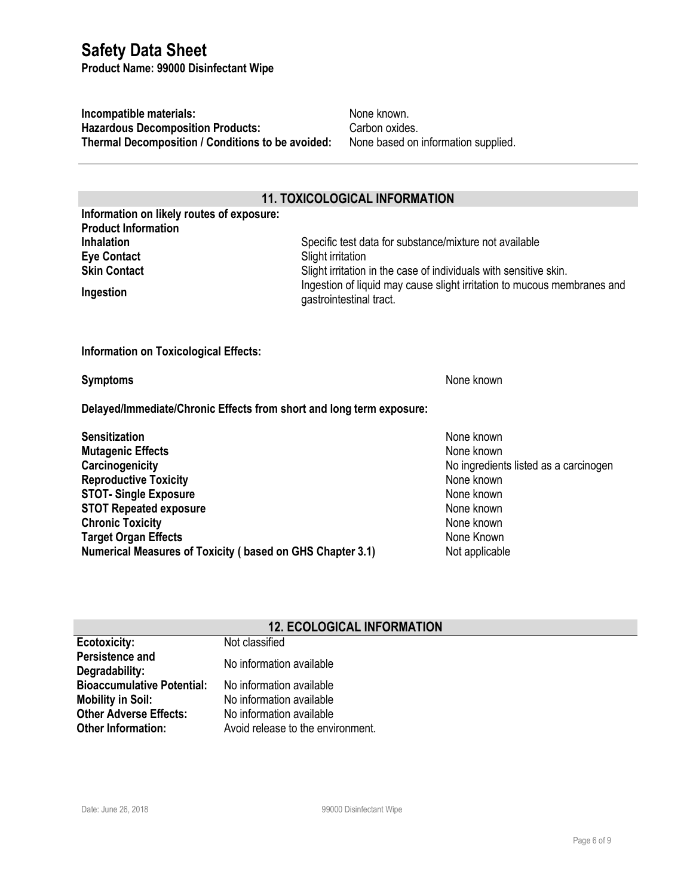**Product Name: 99000 Disinfectant Wipe**

**Incompatible materials:** None known. **Hazardous Decomposition Products:** Carbon oxides. **Thermal Decomposition / Conditions to be avoided:** None based on information supplied.

#### **11. TOXICOLOGICAL INFORMATION**

**Information on likely routes of exposure: Product Information Eye Contact** Slight irritation

**Inhalation** Specific test data for substance/mixture not available **Skin Contact** Slight irritation in the case of individuals with sensitive skin. **Ingestion Ingestion** Ingestion of liquid may cause slight irritation to mucous membranes and<br> **Ingestion** gastrointestinal tract.

**Information on Toxicological Effects:**

**Symptoms** None known

**Delayed/Immediate/Chronic Effects from short and long term exposure:**

**Sensitization** None known None known None known None known None known None known None known None known None known **Mutagenic Effects** None known **Carcinogenicity Carcinogenicity Carcinogenicity No ingredients listed as a carcinogen Reproductive Toxicity** None known **STOT-** Single Exposure **None known STOT Repeated exposure** None known **Chronic Toxicity** None known None known **Target Organ Effects** None Known **Numerical Measures of Toxicity (based on GHS Chapter 3.1)** Not applicable

#### **12. ECOLOGICAL INFORMATION**

| <b>Ecotoxicity:</b>                      | Not classified                    |
|------------------------------------------|-----------------------------------|
| <b>Persistence and</b><br>Degradability: | No information available          |
| <b>Bioaccumulative Potential:</b>        | No information available          |
| <b>Mobility in Soil:</b>                 | No information available          |
| <b>Other Adverse Effects:</b>            | No information available          |
| <b>Other Information:</b>                | Avoid release to the environment. |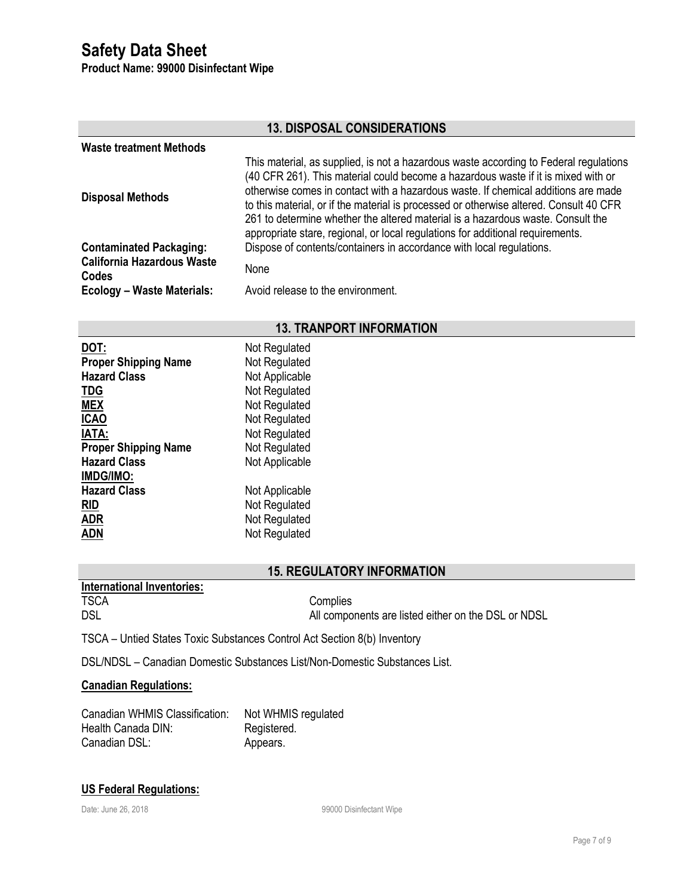**Product Name: 99000 Disinfectant Wipe**

| <b>13. DISPOSAL CONSIDERATIONS</b>         |                                                                                                                                                                                                                                                                                                                                                                                                                                                                                                                                |  |
|--------------------------------------------|--------------------------------------------------------------------------------------------------------------------------------------------------------------------------------------------------------------------------------------------------------------------------------------------------------------------------------------------------------------------------------------------------------------------------------------------------------------------------------------------------------------------------------|--|
| <b>Waste treatment Methods</b>             |                                                                                                                                                                                                                                                                                                                                                                                                                                                                                                                                |  |
| <b>Disposal Methods</b>                    | This material, as supplied, is not a hazardous waste according to Federal regulations<br>(40 CFR 261). This material could become a hazardous waste if it is mixed with or<br>otherwise comes in contact with a hazardous waste. If chemical additions are made<br>to this material, or if the material is processed or otherwise altered. Consult 40 CFR<br>261 to determine whether the altered material is a hazardous waste. Consult the<br>appropriate stare, regional, or local regulations for additional requirements. |  |
| <b>Contaminated Packaging:</b>             | Dispose of contents/containers in accordance with local regulations.                                                                                                                                                                                                                                                                                                                                                                                                                                                           |  |
| <b>California Hazardous Waste</b><br>Codes | None                                                                                                                                                                                                                                                                                                                                                                                                                                                                                                                           |  |
| Ecology - Waste Materials:                 | Avoid release to the environment.                                                                                                                                                                                                                                                                                                                                                                                                                                                                                              |  |

## **13. TRANPORT INFORMATION**

| DOT:<br><b>Proper Shipping Name</b><br><b>Hazard Class</b><br><b>TDG</b><br><b>MEX</b><br><b>ICAO</b><br><b>IATA:</b><br><b>Proper Shipping Name</b><br><b>Hazard Class</b><br>IMDG/IMO: | Not Regulated<br>Not Regulated<br>Not Applicable<br>Not Regulated<br>Not Regulated<br>Not Regulated<br>Not Regulated<br>Not Regulated<br>Not Applicable |
|------------------------------------------------------------------------------------------------------------------------------------------------------------------------------------------|---------------------------------------------------------------------------------------------------------------------------------------------------------|
| <b>Hazard Class</b>                                                                                                                                                                      | Not Applicable                                                                                                                                          |
| <b>RID</b>                                                                                                                                                                               | Not Regulated                                                                                                                                           |
| <b>ADR</b>                                                                                                                                                                               | Not Regulated                                                                                                                                           |
| ADN                                                                                                                                                                                      | Not Regulated                                                                                                                                           |

## **15. REGULATORY INFORMATION**

| mernational inventories. |                                                     |
|--------------------------|-----------------------------------------------------|
| <b>TSCA</b>              | Complies                                            |
| <b>DSL</b>               | All components are listed either on the DSL or NDSL |

TSCA – Untied States Toxic Substances Control Act Section 8(b) Inventory

DSL/NDSL – Canadian Domestic Substances List/Non-Domestic Substances List.

### **Canadian Regulations:**

**International Inventories:**

| Canadian WHMIS Classification: | Not WHMIS regulated |
|--------------------------------|---------------------|
| Health Canada DIN:             | Registered.         |
| Canadian DSL:                  | Appears.            |

#### **US Federal Regulations:**

Date: June 26, 2018 **Date:** June 26, 2018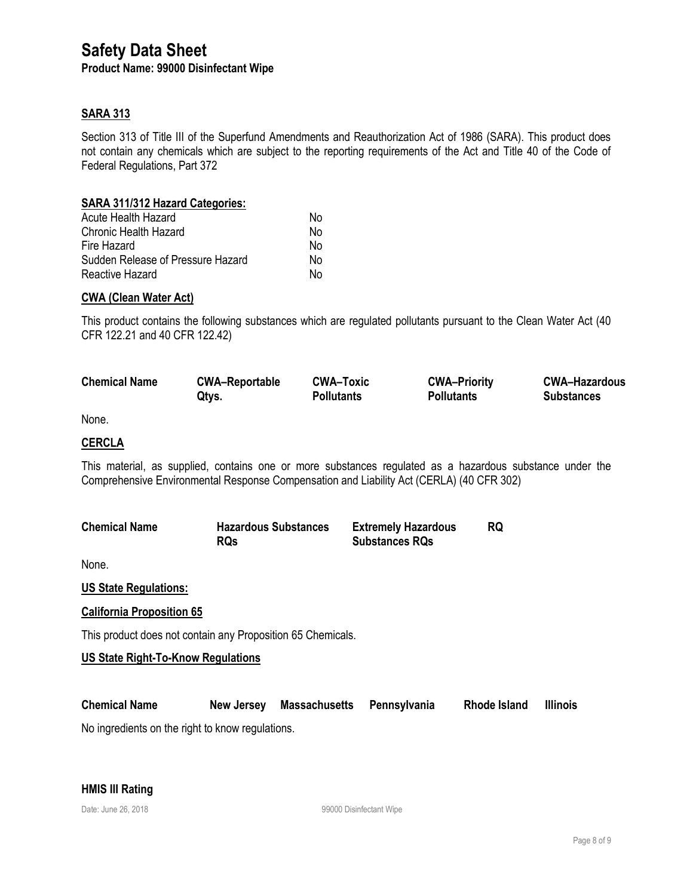**Product Name: 99000 Disinfectant Wipe**

#### **SARA 313**

Section 313 of Title III of the Superfund Amendments and Reauthorization Act of 1986 (SARA). This product does not contain any chemicals which are subject to the reporting requirements of the Act and Title 40 of the Code of Federal Regulations, Part 372

#### **SARA 311/312 Hazard Categories:**

| Acute Health Hazard               | N٥ |
|-----------------------------------|----|
| <b>Chronic Health Hazard</b>      | No |
| Fire Hazard                       | N٥ |
| Sudden Release of Pressure Hazard | No |
| Reactive Hazard                   | N٥ |

#### **CWA (Clean Water Act)**

This product contains the following substances which are regulated pollutants pursuant to the Clean Water Act (40 CFR 122.21 and 40 CFR 122.42)

| <b>Chemical Name</b> | <b>CWA-Reportable</b> | <b>CWA-Toxic</b>  | <b>CWA-Priority</b> | <b>CWA-Hazardous</b> |
|----------------------|-----------------------|-------------------|---------------------|----------------------|
|                      | Qtys.                 | <b>Pollutants</b> | <b>Pollutants</b>   | <b>Substances</b>    |

None.

#### **CERCLA**

This material, as supplied, contains one or more substances regulated as a hazardous substance under the Comprehensive Environmental Response Compensation and Liability Act (CERLA) (40 CFR 302)

| <b>Chemical Name</b> | <b>Hazardous Substances</b> | <b>Extremely Hazardous</b> |  |
|----------------------|-----------------------------|----------------------------|--|
|                      | <b>RQs</b>                  | <b>Substances RQs</b>      |  |

None.

**US State Regulations:**

#### **California Proposition 65**

This product does not contain any Proposition 65 Chemicals.

#### **US State Right-To-Know Regulations**

| <b>Chemical Name</b> | New Jersey | Massachusetts Pennsylvania | <b>Rhode Island</b> | <b>Illinois</b> |
|----------------------|------------|----------------------------|---------------------|-----------------|
|                      |            |                            |                     |                 |

No ingredients on the right to know regulations.

#### **HMIS III Rating**

Date: June 26, 2018 **Date:** June 26, 2018